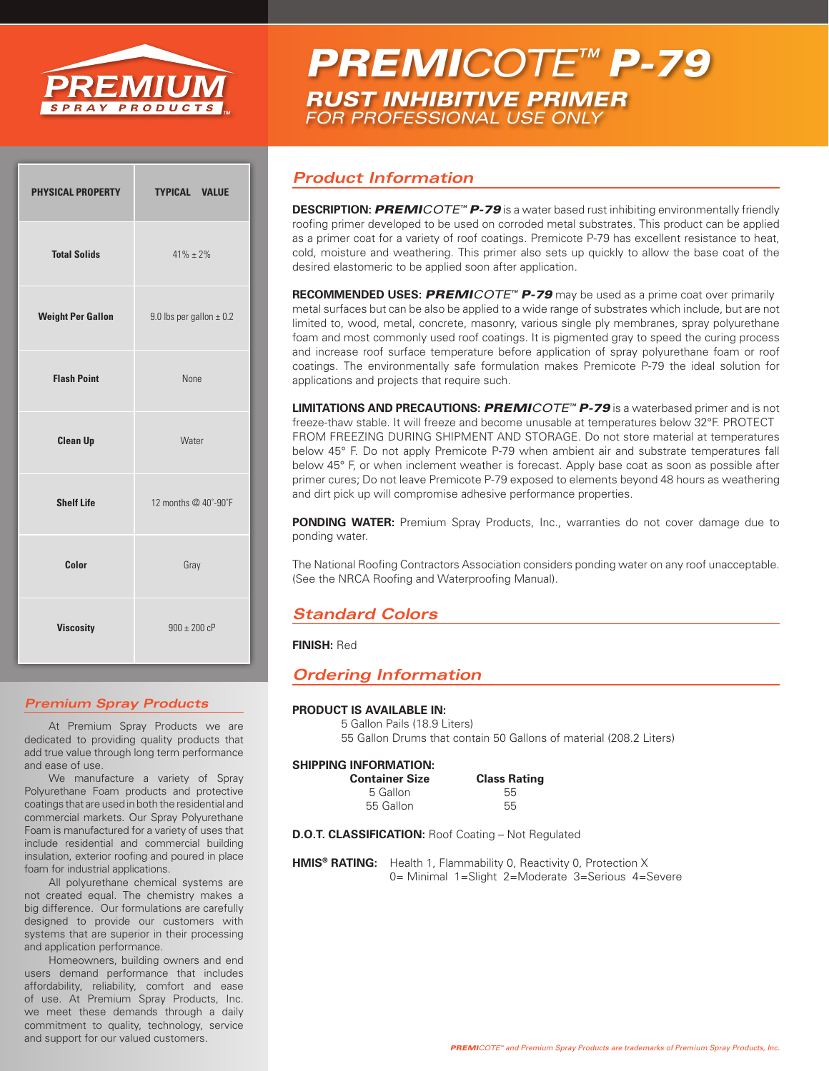

# *PREMICOTE™ P-79 RUST INHIBITIVE PRIMER FOR PROFESSIONAL USE ONLY*

| <b>PHYSICAL PROPERTY</b> | <b>TYPICAL VALUE</b>         |
|--------------------------|------------------------------|
| <b>Total Solids</b>      | $41\% + 2\%$                 |
| <b>Weight Per Gallon</b> | 9.0 lbs per gallon $\pm$ 0.2 |
| <b>Flash Point</b>       | <b>None</b>                  |
| <b>Clean Up</b>          | Water                        |
| <b>Shelf Life</b>        | 12 months @ 40°-90°F         |
| Color                    | Gray                         |
| <b>Viscosity</b>         | $900 \pm 200$ cP             |

#### *Premium Spray Products*

At Premium Spray Products we are dedicated to providing quality products that add true value through long term performance and ease of use.

We manufacture a variety of Spray Polyurethane Foam products and protective coatings that are used in both the residential and commercial markets. Our Spray Polyurethane Foam is manufactured for a variety of uses that include residential and commercial building insulation, exterior roofing and poured in place foam for industrial applications.

All polyurethane chemical systems are not created equal. The chemistry makes a big difference. Our formulations are carefully designed to provide our customers with systems that are superior in their processing and application performance.

Homeowners, building owners and end users demand performance that includes affordability, reliability, comfort and ease of use. At Premium Spray Products, Inc. we meet these demands through a daily commitment to quality, technology, service and support for our valued customers.

### *Product Information*

**DESCRIPTION:** *PREMICOTE™ P-79* is a water based rust inhibiting environmentally friendly roofing primer developed to be used on corroded metal substrates. This product can be applied as a primer coat for a variety of roof coatings. Premicote P-79 has excellent resistance to heat, cold, moisture and weathering. This primer also sets up quickly to allow the base coat of the desired elastomeric to be applied soon after application.

**RECOMMENDED USES:** *PREMICOTE™ P-79* may be used as a prime coat over primarily metal surfaces but can be also be applied to a wide range of substrates which include, but are not limited to, wood, metal, concrete, masonry, various single ply membranes, spray polyurethane foam and most commonly used roof coatings. It is pigmented gray to speed the curing process and increase roof surface temperature before application of spray polyurethane foam or roof coatings. The environmentally safe formulation makes Premicote P-79 the ideal solution for applications and projects that require such.

**LIMITATIONS AND PRECAUTIONS:** *PREMICOTE™ P-79* is a waterbased primer and is not freeze-thaw stable. It will freeze and become unusable at temperatures below 32°F. PROTECT FROM FREEZING DURING SHIPMENT AND STORAGE. Do not store material at temperatures below 45° F. Do not apply Premicote P-79 when ambient air and substrate temperatures fall below 45° F, or when inclement weather is forecast. Apply base coat as soon as possible after primer cures; Do not leave Premicote P-79 exposed to elements beyond 48 hours as weathering and dirt pick up will compromise adhesive performance properties.

**PONDING WATER:** Premium Spray Products, Inc., warranties do not cover damage due to ponding water.

The National Roofing Contractors Association considers ponding water on any roof unacceptable. (See the NRCA Roofing and Waterproofing Manual).

## *Standard Colors*

#### **FINISH:** Red

### *Ordering Information*

#### **PRODUCT IS AVAILABLE IN:**

5 Gallon Pails (18.9 Liters) 55 Gallon Drums that contain 50 Gallons of material (208.2 Liters)

#### **SHIPPING INFORMATION:**

| <b>Container Size</b> | <b>Class Rating</b> |
|-----------------------|---------------------|
| 5 Gallon              | 55                  |
| 55 Gallon             | 55                  |
|                       |                     |

**D.O.T. CLASSIFICATION:** Roof Coating – Not Regulated

**HMIS<sup>®</sup> RATING:** Health 1, Flammability 0, Reactivity 0, Protection X 0= Minimal 1=Slight 2=Moderate 3=Serious 4=Severe